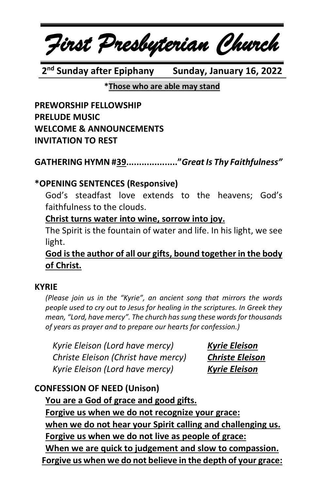*First Presbyterian Church*

**2 nd Sunday after Epiphany Sunday, January 16, 2022**

#### **\*Those who are able may stand**

**PREWORSHIP FELLOWSHIP PRELUDE MUSIC WELCOME & ANNOUNCEMENTS INVITATION TO REST**

**GATHERING HYMN #39...................."***Great Is Thy Faithfulness"*

# **\*OPENING SENTENCES (Responsive)**

God's steadfast love extends to the heavens; God's faithfulness to the clouds.

### **Christ turns water into wine, sorrow into joy.**

The Spirit is the fountain of water and life. In his light, we see light.

**God isthe author of all our gifts, bound together in the body of Christ.**

#### **KYRIE**

*(Please join us in the "Kyrie", an ancient song that mirrors the words people used to cry out to Jesus for healing in the scriptures. In Greek they mean, "Lord, have mercy". The church has sung these words for thousands of years as prayer and to prepare our hearts for confession.)*

*Kyrie Eleison (Lord have mercy) Kyrie Eleison Christe Eleison (Christ have mercy) Christe Eleison Kyrie Eleison (Lord have mercy) Kyrie Eleison*

# **CONFESSION OF NEED (Unison)**

**You are a God of grace and good gifts. Forgive us when we do not recognize your grace: when we do not hear your Spirit calling and challenging us. Forgive us when we do not live as people of grace: When we are quick to judgement and slow to compassion. Forgive us when we do not believe in the depth of your grace:**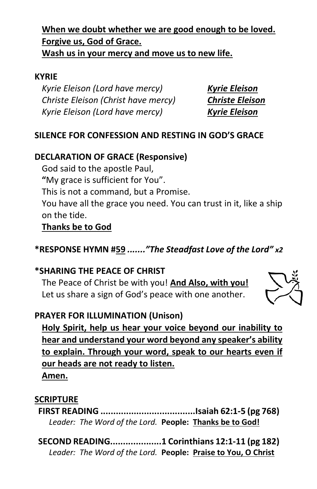# **When we doubt whether we are good enough to be loved. Forgive us, God of Grace.**

**Wash us in your mercy and move us to new life.**

#### **KYRIE**

*Kyrie Eleison (Lord have mercy) Kyrie Eleison Christe Eleison (Christ have mercy) Christe Eleison Kyrie Eleison (Lord have mercy) Kyrie Eleison*

## **SILENCE FOR CONFESSION AND RESTING IN GOD'S GRACE**

### **DECLARATION OF GRACE (Responsive)**

God said to the apostle Paul,

**"**My grace is sufficient for You".

This is not a command, but a Promise.

You have all the grace you need. You can trust in it, like a ship on the tide.

## **Thanks be to God**

# **\*RESPONSE HYMN #59** *......."The Steadfast Love of the Lord" x2*

## **\*SHARING THE PEACE OF CHRIST**

The Peace of Christ be with you! **And Also, with you!** Let us share a sign of God's peace with one another.



#### **PRAYER FOR ILLUMINATION (Unison)**

**Holy Spirit, help us hear your voice beyond our inability to hear and understand your word beyond any speaker's ability to explain. Through your word, speak to our hearts even if our heads are not ready to listen. Amen.**

#### **SCRIPTURE**

**FIRST READING .....................................Isaiah 62:1-5 (pg 768)** *Leader: The Word of the Lord.* **People: Thanks be to God!**

**SECOND READING....................1 Corinthians 12:1-11 (pg 182)** *Leader: The Word of the Lord.* **People: Praise to You, O Christ**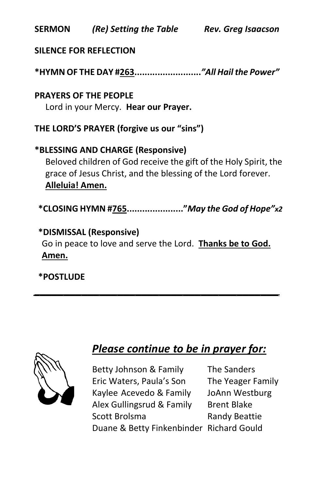**SERMON** *(Re) Setting the Table**Rev. Greg Isaacson*

### **SILENCE FOR REFLECTION**

**\*HYMN OF THE DAY #263..........................***"All Hail the Power"*

**PRAYERS OF THE PEOPLE** Lord in your Mercy. **Hear our Prayer.**

**THE LORD'S PRAYER (forgive us our "sins")**

# **\*BLESSING AND CHARGE (Responsive)**  Beloved children of God receive the gift of the Holy Spirit, the grace of Jesus Christ, and the blessing of the Lord forever. **Alleluia! Amen.**

**\*CLOSING HYMN #765......................"***May the God of Hope"x2*

# **\*DISMISSAL (Responsive)**

Go in peace to love and serve the Lord. **Thanks be to God. Amen.**

*\_\_\_\_\_\_\_\_\_\_\_\_\_\_\_\_\_\_\_\_\_\_\_\_\_\_\_\_\_\_\_\_\_\_\_\_\_\_\_\_\_*

**\*POSTLUDE**



# *Please continue to be in prayer for:*

Betty Johnson & Family The Sanders Eric Waters, Paula's Son The Yeager Family Kaylee Acevedo & Family JoAnn Westburg Alex Gullingsrud & Family Brent Blake Scott Brolsma Randy Beattie Duane & Betty Finkenbinder Richard Gould